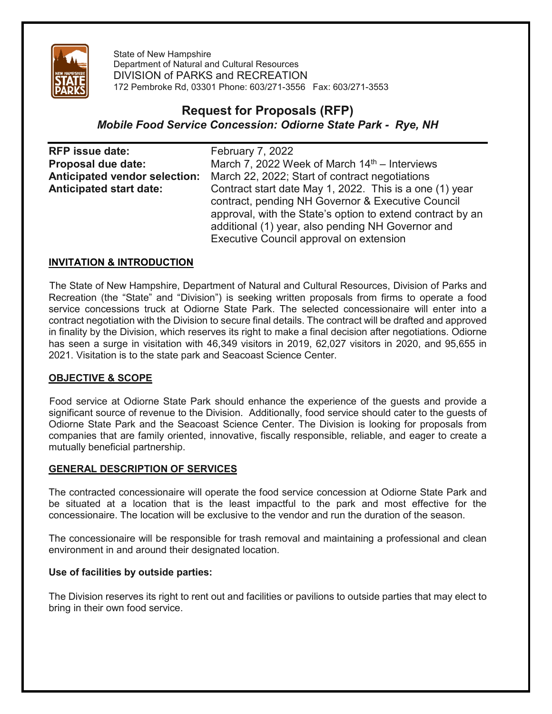

State of New Hampshire Department of Natural and Cultural Resources DIVISION of PARKS and RECREATION 172 Pembroke Rd, 03301 Phone: 603/271-3556 Fax: 603/271-3553

# **Request for Proposals (RFP)** *Mobile Food Service Concession: Odiorne State Park - Rye, NH*

| <b>RFP</b> issue date:               | <b>February 7, 2022</b>                                    |
|--------------------------------------|------------------------------------------------------------|
| Proposal due date:                   | March 7, 2022 Week of March $14th$ – Interviews            |
| <b>Anticipated vendor selection:</b> | March 22, 2022; Start of contract negotiations             |
| <b>Anticipated start date:</b>       | Contract start date May 1, 2022. This is a one (1) year    |
|                                      | contract, pending NH Governor & Executive Council          |
|                                      | approval, with the State's option to extend contract by an |
|                                      | additional (1) year, also pending NH Governor and          |
|                                      | Executive Council approval on extension                    |

## **INVITATION & INTRODUCTION**

The State of New Hampshire, Department of Natural and Cultural Resources, Division of Parks and Recreation (the "State" and "Division") is seeking written proposals from firms to operate a food service concessions truck at Odiorne State Park. The selected concessionaire will enter into a contract negotiation with the Division to secure final details. The contract will be drafted and approved in finality by the Division, which reserves its right to make a final decision after negotiations. Odiorne has seen a surge in visitation with 46,349 visitors in 2019, 62,027 visitors in 2020, and 95,655 in 2021. Visitation is to the state park and Seacoast Science Center.

#### **OBJECTIVE & SCOPE**

Food service at Odiorne State Park should enhance the experience of the guests and provide a significant source of revenue to the Division. Additionally, food service should cater to the guests of Odiorne State Park and the Seacoast Science Center. The Division is looking for proposals from companies that are family oriented, innovative, fiscally responsible, reliable, and eager to create a mutually beneficial partnership.

#### **GENERAL DESCRIPTION OF SERVICES**

The contracted concessionaire will operate the food service concession at Odiorne State Park and be situated at a location that is the least impactful to the park and most effective for the concessionaire. The location will be exclusive to the vendor and run the duration of the season.

The concessionaire will be responsible for trash removal and maintaining a professional and clean environment in and around their designated location.

#### **Use of facilities by outside parties:**

The Division reserves its right to rent out and facilities or pavilions to outside parties that may elect to bring in their own food service.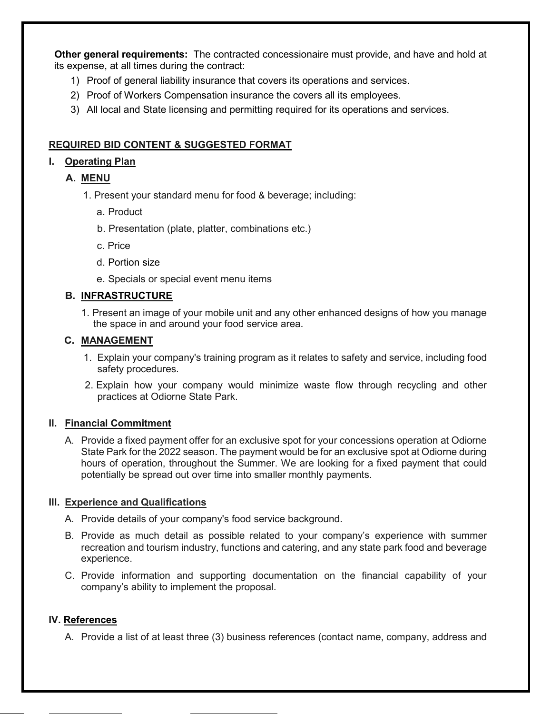**Other general requirements:** The contracted concessionaire must provide, and have and hold at its expense, at all times during the contract:

- 1) Proof of general liability insurance that covers its operations and services.
- 2) Proof of Workers Compensation insurance the covers all its employees.
- 3) All local and State licensing and permitting required for its operations and services.

## **REQUIRED BID CONTENT & SUGGESTED FORMAT**

# **I. Operating Plan**

- **A. MENU**
	- 1. Present your standard menu for food & beverage; including:
		- a. Product
		- b. Presentation (plate, platter, combinations etc.)
		- c. Price
		- d. Portion size
		- e. Specials or special event menu items

## **B. INFRASTRUCTURE**

1. Present an image of your mobile unit and any other enhanced designs of how you manage the space in and around your food service area.

## **C. MANAGEMENT**

- 1. Explain your company's training program as it relates to safety and service, including food safety procedures.
- 2. Explain how your company would minimize waste flow through recycling and other practices at Odiorne State Park.

## **Il. Financial Commitment**

A. Provide a fixed payment offer for an exclusive spot for your concessions operation at Odiorne State Park for the 2022 season. The payment would be for an exclusive spot at Odiorne during hours of operation, throughout the Summer. We are looking for a fixed payment that could potentially be spread out over time into smaller monthly payments.

#### **Ill. Experience and Qualifications**

- A. Provide details of your company's food service background.
- B. Provide as much detail as possible related to your company's experience with summer recreation and tourism industry, functions and catering, and any state park food and beverage experience.
- C. Provide information and supporting documentation on the financial capability of your company's ability to implement the proposal.

#### **IV. References**

A. Provide a list of at least three (3) business references (contact name, company, address and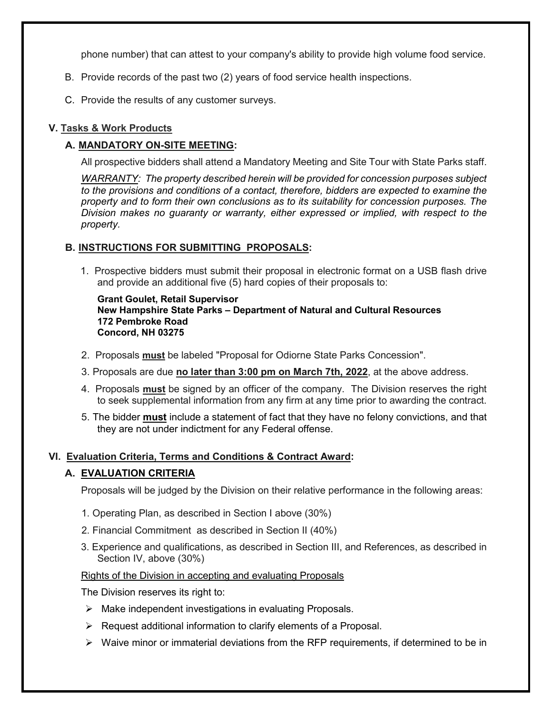phone number) that can attest to your company's ability to provide high volume food service.

- B. Provide records of the past two (2) years of food service health inspections.
- C. Provide the results of any customer surveys.

## **V. Tasks & Work Products**

## **A. MANDATORY ON-SITE MEETING:**

All prospective bidders shall attend a Mandatory Meeting and Site Tour with State Parks staff.

*WARRANTY: The property described herein will be provided for concession purposes subject to the provisions and conditions of a contact, therefore, bidders are expected to examine the property and to form their own conclusions as to its suitability for concession purposes. The Division makes no guaranty or warranty, either expressed or implied, with respect to the property.*

## **B. INSTRUCTIONS FOR SUBMITTING PROPOSALS:**

1. Prospective bidders must submit their proposal in electronic format on a USB flash drive and provide an additional five (5) hard copies of their proposals to:

**Grant Goulet, Retail Supervisor New Hampshire State Parks – Department of Natural and Cultural Resources 172 Pembroke Road Concord, NH 03275**

- 2. Proposals **must** be labeled "Proposal for Odiorne State Parks Concession".
- 3. Proposals are due **no later than 3:00 pm on March 7th, 2022**, at the above address.
- 4. Proposals **must** be signed by an officer of the company. The Division reserves the right to seek supplemental information from any firm at any time prior to awarding the contract.
- 5. The bidder **must** include a statement of fact that they have no felony convictions, and that they are not under indictment for any Federal offense.

## **VI. Evaluation Criteria, Terms and Conditions & Contract Award:**

## **A. EVALUATION CRITERIA**

Proposals will be judged by the Division on their relative performance in the following areas:

- 1. Operating Plan, as described in Section I above (30%)
- 2. Financial Commitment as described in Section II (40%)
- 3. Experience and qualifications, as described in Section III, and References, as described in Section IV, above (30%)

#### Rights of the Division in accepting and evaluating Proposals

The Division reserves its right to:

- $\triangleright$  Make independent investigations in evaluating Proposals.
- $\triangleright$  Request additional information to clarify elements of a Proposal.
- $\triangleright$  Waive minor or immaterial deviations from the RFP requirements, if determined to be in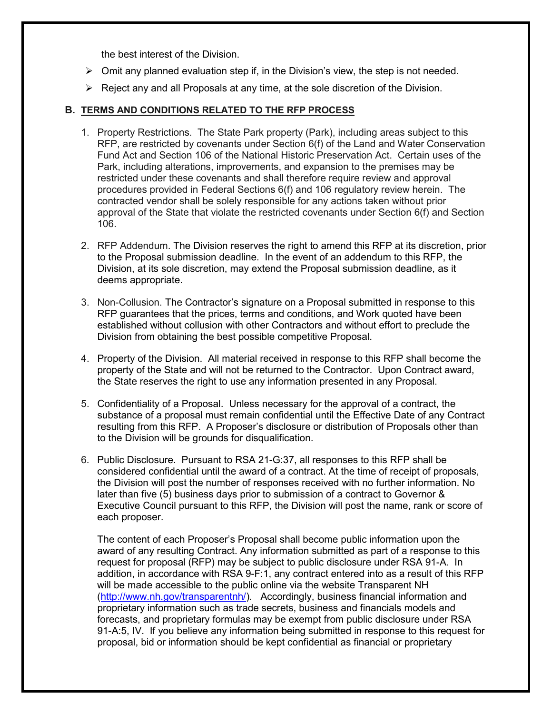the best interest of the Division.

- $\triangleright$  Omit any planned evaluation step if, in the Division's view, the step is not needed.
- $\triangleright$  Reject any and all Proposals at any time, at the sole discretion of the Division.

#### **B. TERMS AND CONDITIONS RELATED TO THE RFP PROCESS**

- 1. Property Restrictions. The State Park property (Park), including areas subject to this RFP, are restricted by covenants under Section 6(f) of the Land and Water Conservation Fund Act and Section 106 of the National Historic Preservation Act. Certain uses of the Park, including alterations, improvements, and expansion to the premises may be restricted under these covenants and shall therefore require review and approval procedures provided in Federal Sections 6(f) and 106 regulatory review herein. The contracted vendor shall be solely responsible for any actions taken without prior approval of the State that violate the restricted covenants under Section 6(f) and Section 106.
- 2. RFP Addendum. The Division reserves the right to amend this RFP at its discretion, prior to the Proposal submission deadline. In the event of an addendum to this RFP, the Division, at its sole discretion, may extend the Proposal submission deadline, as it deems appropriate.
- 3. Non-Collusion. The Contractor's signature on a Proposal submitted in response to this RFP guarantees that the prices, terms and conditions, and Work quoted have been established without collusion with other Contractors and without effort to preclude the Division from obtaining the best possible competitive Proposal.
- 4. Property of the Division. All material received in response to this RFP shall become the property of the State and will not be returned to the Contractor. Upon Contract award, the State reserves the right to use any information presented in any Proposal.
- 5. Confidentiality of a Proposal. Unless necessary for the approval of a contract, the substance of a proposal must remain confidential until the Effective Date of any Contract resulting from this RFP. A Proposer's disclosure or distribution of Proposals other than to the Division will be grounds for disqualification.
- 6. Public Disclosure. Pursuant to RSA 21-G:37, all responses to this RFP shall be considered confidential until the award of a contract. At the time of receipt of proposals, the Division will post the number of responses received with no further information. No later than five (5) business days prior to submission of a contract to Governor & Executive Council pursuant to this RFP, the Division will post the name, rank or score of each proposer.

The content of each Proposer's Proposal shall become public information upon the award of any resulting Contract. Any information submitted as part of a response to this request for proposal (RFP) may be subject to public disclosure under RSA 91-A. In addition, in accordance with RSA 9-F:1, any contract entered into as a result of this RFP will be made accessible to the public online via the website Transparent NH [\(http://www.nh.gov/transparentnh/\)](http://www.nh.gov/transparentnh/). Accordingly, business financial information and proprietary information such as trade secrets, business and financials models and forecasts, and proprietary formulas may be exempt from public disclosure under RSA 91-A:5, IV. If you believe any information being submitted in response to this request for proposal, bid or information should be kept confidential as financial or proprietary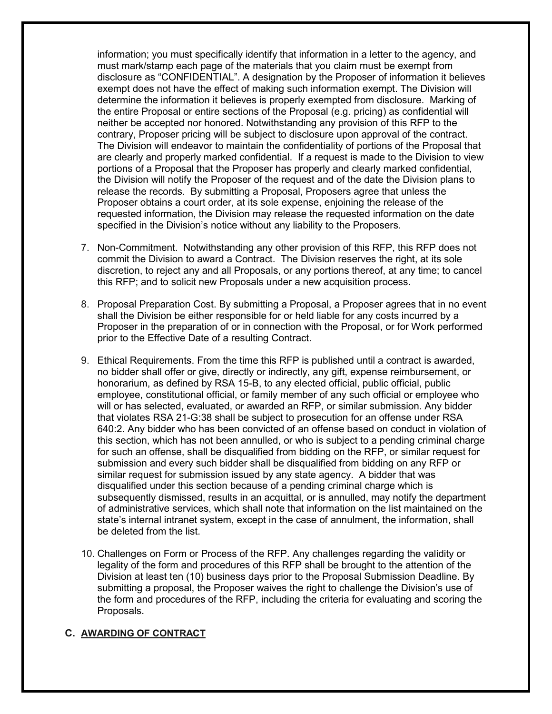information; you must specifically identify that information in a letter to the agency, and must mark/stamp each page of the materials that you claim must be exempt from disclosure as "CONFIDENTIAL". A designation by the Proposer of information it believes exempt does not have the effect of making such information exempt. The Division will determine the information it believes is properly exempted from disclosure. Marking of the entire Proposal or entire sections of the Proposal (e.g. pricing) as confidential will neither be accepted nor honored. Notwithstanding any provision of this RFP to the contrary, Proposer pricing will be subject to disclosure upon approval of the contract. The Division will endeavor to maintain the confidentiality of portions of the Proposal that are clearly and properly marked confidential. If a request is made to the Division to view portions of a Proposal that the Proposer has properly and clearly marked confidential, the Division will notify the Proposer of the request and of the date the Division plans to release the records. By submitting a Proposal, Proposers agree that unless the Proposer obtains a court order, at its sole expense, enjoining the release of the requested information, the Division may release the requested information on the date specified in the Division's notice without any liability to the Proposers.

- 7. Non-Commitment. Notwithstanding any other provision of this RFP, this RFP does not commit the Division to award a Contract. The Division reserves the right, at its sole discretion, to reject any and all Proposals, or any portions thereof, at any time; to cancel this RFP; and to solicit new Proposals under a new acquisition process.
- 8. Proposal Preparation Cost. By submitting a Proposal, a Proposer agrees that in no event shall the Division be either responsible for or held liable for any costs incurred by a Proposer in the preparation of or in connection with the Proposal, or for Work performed prior to the Effective Date of a resulting Contract.
- 9. Ethical Requirements. From the time this RFP is published until a contract is awarded, no bidder shall offer or give, directly or indirectly, any gift, expense reimbursement, or honorarium, as defined by RSA 15-B, to any elected official, public official, public employee, constitutional official, or family member of any such official or employee who will or has selected, evaluated, or awarded an RFP, or similar submission. Any bidder that violates RSA 21-G:38 shall be subject to prosecution for an offense under RSA 640:2. Any bidder who has been convicted of an offense based on conduct in violation of this section, which has not been annulled, or who is subject to a pending criminal charge for such an offense, shall be disqualified from bidding on the RFP, or similar request for submission and every such bidder shall be disqualified from bidding on any RFP or similar request for submission issued by any state agency. A bidder that was disqualified under this section because of a pending criminal charge which is subsequently dismissed, results in an acquittal, or is annulled, may notify the department of administrative services, which shall note that information on the list maintained on the state's internal intranet system, except in the case of annulment, the information, shall be deleted from the list.
- 10. Challenges on Form or Process of the RFP. Any challenges regarding the validity or legality of the form and procedures of this RFP shall be brought to the attention of the Division at least ten (10) business days prior to the Proposal Submission Deadline. By submitting a proposal, the Proposer waives the right to challenge the Division's use of the form and procedures of the RFP, including the criteria for evaluating and scoring the Proposals.

#### **C. AWARDING OF CONTRACT**